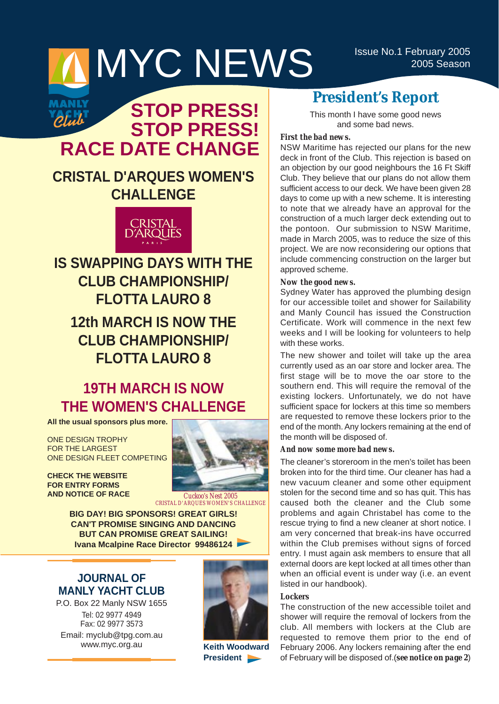# MYCNEWS ISSUE NO.1 February 2005



## **STOP PRESS! STOP PRESS! RACE DATE CHANGE**

## **CRISTAL D'ARQUES WOMEN'S CHALLENGE**



## **IS SWAPPING DAYS WITH THE CLUB CHAMPIONSHIP/ FLOTTA LAURO 8 12th MARCH IS NOW THE CLUB CHAMPIONSHIP/ FLOTTA LAURO 8**

## **19TH MARCH IS NOW THE WOMEN'S CHALLENGE**

**All the usual sponsors plus more.**

ONE DESIGN TROPHY FOR THE LARGEST ONE DESIGN FLEET COMPETING

**CHECK THE WEBSITE FOR ENTRY FORMS AND NOTICE OF RACE**



*Cuckoo's Nest 2005 CRISTAL D'ARQUES WOMEN'S CHALLENGE*

**BIG DAY! BIG SPONSORS! GREAT GIRLS! CAN'T PROMISE SINGING AND DANCING BUT CAN PROMISE GREAT SAILING! Ivana Mcalpine Race Director 99486124**

### **JOURNAL OF MANLY YACHT CLUB**

P.O. Box 22 Manly NSW 1655 Tel: 02 9977 4949 Fax: 02 9977 3573 Email: myclub@tpg.com.au www.myc.org.au



**Keith Woodward President** 

## **President's Report**

This month I have some good news and some bad news.

#### *First the bad news.*

NSW Maritime has rejected our plans for the new deck in front of the Club. This rejection is based on an objection by our good neighbours the 16 Ft Skiff Club. They believe that our plans do not allow them sufficient access to our deck. We have been given 28 days to come up with a new scheme. It is interesting to note that we already have an approval for the construction of a much larger deck extending out to the pontoon. Our submission to NSW Maritime, made in March 2005, was to reduce the size of this project. We are now reconsidering our options that include commencing construction on the larger but approved scheme.

#### *Now the good news.*

Sydney Water has approved the plumbing design for our accessible toilet and shower for Sailability and Manly Council has issued the Construction Certificate. Work will commence in the next few weeks and I will be looking for volunteers to help with these works.

The new shower and toilet will take up the area currently used as an oar store and locker area. The first stage will be to move the oar store to the southern end. This will require the removal of the existing lockers. Unfortunately, we do not have sufficient space for lockers at this time so members are requested to remove these lockers prior to the end of the month. Any lockers remaining at the end of the month will be disposed of.

#### *And now some more bad news.*

The cleaner's storeroom in the men's toilet has been broken into for the third time. Our cleaner has had a new vacuum cleaner and some other equipment stolen for the second time and so has quit. This has caused both the cleaner and the Club some problems and again Christabel has come to the rescue trying to find a new cleaner at short notice. I am very concerned that break-ins have occurred within the Club premises without signs of forced entry. I must again ask members to ensure that all external doors are kept locked at all times other than when an official event is under way (i.e. an event listed in our handbook).

#### *Lockers*

The construction of the new accessible toilet and shower will require the removal of lockers from the club. All members with lockers at the Club are requested to remove them prior to the end of February 2006. Any lockers remaining after the end of February will be disposed of.(*see notice on page 2*)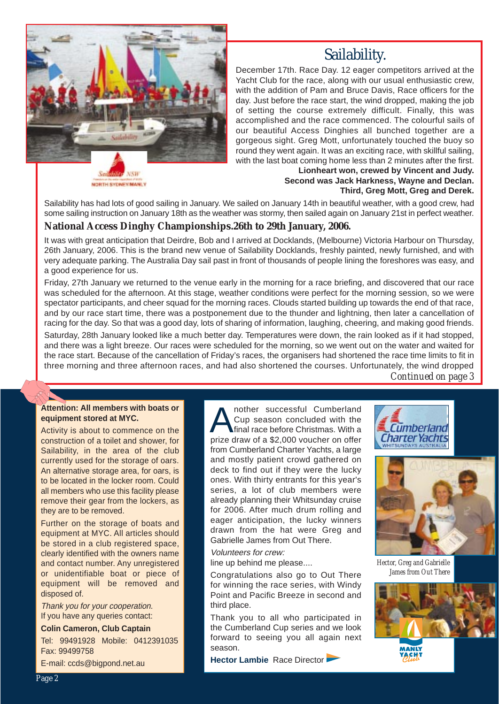

## Sailability.

December 17th. Race Day. 12 eager competitors arrived at the Yacht Club for the race, along with our usual enthusiastic crew, with the addition of Pam and Bruce Davis, Race officers for the day. Just before the race start, the wind dropped, making the job of setting the course extremely difficult. Finally, this was accomplished and the race commenced. The colourful sails of our beautiful Access Dinghies all bunched together are a gorgeous sight. Greg Mott, unfortunately touched the buoy so round they went again. It was an exciting race, with skillful sailing, with the last boat coming home less than 2 minutes after the first.

NORTH SYDNEY/MANLY

#### **Lionheart won, crewed by Vincent and Judy. Second was Jack Harkness, Wayne and Declan. Third, Greg Mott, Greg and Derek.**

Sailability has had lots of good sailing in January. We sailed on January 14th in beautiful weather, with a good crew, had some sailing instruction on January 18th as the weather was stormy, then sailed again on January 21st in perfect weather.

#### **National Access Dinghy Championships.26th to 29th January, 2006.**

It was with great anticipation that Deirdre, Bob and I arrived at Docklands, (Melbourne) Victoria Harbour on Thursday, 26th January, 2006. This is the brand new venue of Sailability Docklands, freshly painted, newly furnished, and with very adequate parking. The Australia Day sail past in front of thousands of people lining the foreshores was easy, and a good experience for us.

Friday, 27th January we returned to the venue early in the morning for a race briefing, and discovered that our race was scheduled for the afternoon. At this stage, weather conditions were perfect for the morning session, so we were spectator participants, and cheer squad for the morning races. Clouds started building up towards the end of that race, and by our race start time, there was a postponement due to the thunder and lightning, then later a cancellation of racing for the day. So that was a good day, lots of sharing of information, laughing, cheering, and making good friends.

Saturday, 28th January looked like a much better day. Temperatures were down, the rain looked as if it had stopped, and there was a light breeze. Our races were scheduled for the morning, so we went out on the water and waited for the race start. Because of the cancellation of Friday's races, the organisers had shortened the race time limits to fit in three morning and three afternoon races, and had also shortened the courses. Unfortunately, the wind dropped

*Continued on page 3*

#### **Attention: All members with boats or equipment stored at MYC.**

Activity is about to commence on the construction of a toilet and shower, for Sailability, in the area of the club currently used for the storage of oars. An alternative storage area, for oars, is to be located in the locker room. Could all members who use this facility please remove their gear from the lockers, as they are to be removed.

Further on the storage of boats and equipment at MYC. All articles should be stored in a club registered space, clearly identified with the owners name and contact number. Any unregistered or unidentifiable boat or piece of equipment will be removed and disposed of.

Thank you for your cooperation. If you have any queries contact:

**Colin Cameron, Club Captain**

Tel: 99491928 Mobile: 0412391035 Fax: 99499758

E-mail: ccds@bigpond.net.au

nother successful Cumberland Cup season concluded with the final race before Christmas. With a prize draw of a \$2,000 voucher on offer from Cumberland Charter Yachts, a large and mostly patient crowd gathered on deck to find out if they were the lucky ones. With thirty entrants for this year's series, a lot of club members were already planning their Whitsunday cruise for 2006. After much drum rolling and eager anticipation, the lucky winners drawn from the hat were Greg and Gabrielle James from Out There.

Volunteers for crew: line up behind me please....

Congratulations also go to Out There for winning the race series, with Windy Point and Pacific Breeze in second and third place.

Thank you to all who participated in the Cumberland Cup series and we look forward to seeing you all again next season.

**Hector Lambie** Race Director





*Hector, Greg and Gabrielle James from Out There*

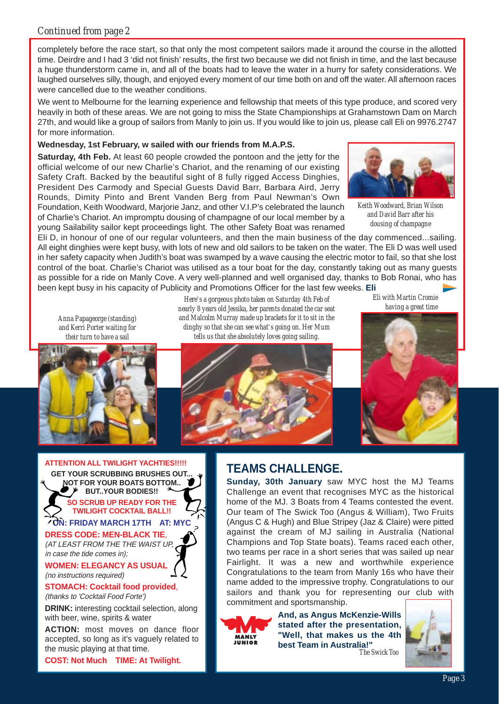#### *Continued from page 2*

completely before the race start, so that only the most competent sailors made it around the course in the allotted time. Deirdre and I had 3 'did not finish' results, the first two because we did not finish in time, and the last because a huge thunderstorm came in, and all of the boats had to leave the water in a hurry for safety considerations. We laughed ourselves silly, though, and enjoyed every moment of our time both on and off the water. All afternoon races were cancelled due to the weather conditions.

We went to Melbourne for the learning experience and fellowship that meets of this type produce, and scored very heavily in both of these areas. We are not going to miss the State Championships at Grahamstown Dam on March 27th, and would like a group of sailors from Manly to join us. If you would like to join us, please call Eli on 9976.2747 for more information.

#### **Wednesday, 1st February, w sailed with our friends from M.A.P.S.**

**Saturday, 4th Feb.** At least 60 people crowded the pontoon and the jetty for the official welcome of our new Charlie's Chariot, and the renaming of our existing Safety Craft. Backed by the beautiful sight of 8 fully rigged Access Dinghies, President Des Carmody and Special Guests David Barr, Barbara Aird, Jerry Rounds, Dimity Pinto and Brent Vanden Berg from Paul Newman's Own Foundation, Keith Woodward, Marjorie Janz, and other V.I.P's celebrated the launch of Charlie's Chariot. An impromptu dousing of champagne of our local member by a young Sailability sailor kept proceedings light. The other Safety Boat was renamed



*Keith Woodward, Brian Wilson and David Barr after his dousing of champagne* 

Eli D, in honour of one of our regular volunteers, and then the main business of the day commenced...sailing. All eight dinghies were kept busy, with lots of new and old sailors to be taken on the water. The Eli D was well used in her safety capacity when Judith's boat was swamped by a wave causing the electric motor to fail, so that she lost control of the boat. Charlie's Chariot was utilised as a tour boat for the day, constantly taking out as many guests as possible for a ride on Manly Cove. A very well-planned and well organised day, thanks to Bob Ronai, who has been kept busy in his capacity of Publicity and Promotions Officer for the last few weeks. **Eli**

*Anna Papageorge (standing) and Kerri Porter waiting for their turn to have a sail*



*Here's a gorgeous photo taken on Saturday 4th Feb of nearly 8 years old Jessika, her parents donated the car seat and Malcolm Murray made up brackets for it to sit in the dinghy so that she can see what's going on. Her Mum tells us that she absolutely loves going sailing.* 



*Eli with Martin Cromie having a great time*



**ATTENTION ALL TWILIGHT YACHTIES!!!!! GET YOUR SCRUBBING BRUSHES OUT.** 

**NOT FOR YOUR BOATS BOTTOM.. BUT..YOUR BODIES!! SO SCRUB UP READY FOR THE** 

**TWILIGHT COCKTAIL BALL!! ON: FRIDAY MARCH 17TH AT: MYC**

#### **DRESS CODE: MEN-BLACK TIE**,

(AT LEAST FROM THE THE WAIST UP, in case the tide comes in);

**WOMEN: ELEGANCY AS USU/** (no instructions required)

**STOMACH: Cocktail food provided**, (thanks to 'Cocktail Food Forte')

**DRINK:** interesting cocktail selection, along with beer, wine, spirits & water

**ACTION:** most moves on dance floor accepted, so long as it's vaguely related to the music playing at that time.

**COST: Not Much TIME: At Twilight.**

## **TEAMS CHALLENGE.**

**Sunday, 30th January** saw MYC host the MJ Teams Challenge an event that recognises MYC as the historical home of the MJ. 3 Boats from 4 Teams contested the event. Our team of The Swick Too (Angus & William), Two Fruits (Angus C & Hugh) and Blue Stripey (Jaz & Claire) were pitted against the cream of MJ sailing in Australia (National Champions and Top State boats). Teams raced each other, two teams per race in a short series that was sailed up near Fairlight. It was a new and worthwhile experience Congratulations to the team from Manly 16s who have their name added to the impressive trophy. Congratulations to our sailors and thank you for representing our club with commitment and sportsmanship.



**And, as Angus McKenzie-Wills stated after the presentation, "Well, that makes us the 4th best Team in Australia!"** *The Swick Too*

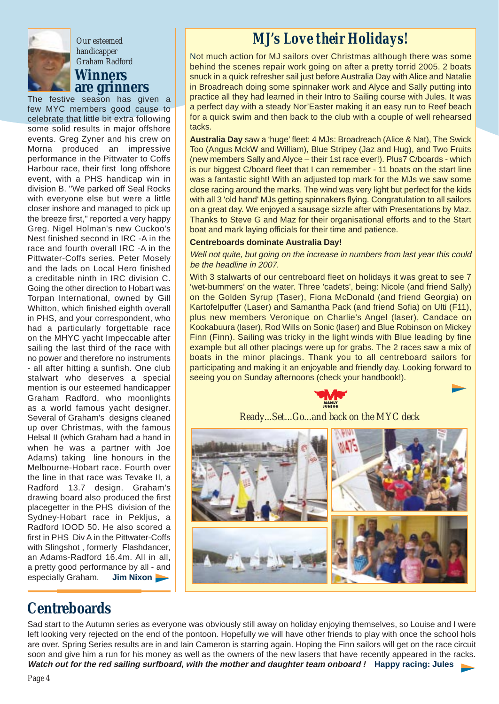

#### **Winners are grinners** *Our esteemed handicapper Graham Radford*

The festive season has given a few MYC members good cause to celebrate that little bit extra following some solid results in major offshore events. Greg Zyner and his crew on Morna produced an impressive performance in the Pittwater to Coffs Harbour race, their first long offshore event, with a PHS handicap win in division B. ''We parked off Seal Rocks with everyone else but were a little closer inshore and managed to pick up the breeze first,'' reported a very happy Greg. Nigel Holman's new Cuckoo's Nest finished second in IRC -A in the race and fourth overall IRC -A in the Pittwater-Coffs series. Peter Mosely and the lads on Local Hero finished a creditable ninth in IRC division C. Going the other direction to Hobart was Torpan International, owned by Gill Whitton, which finished eighth overall in PHS, and your correspondent, who had a particularly forgettable race on the MHYC yacht Impeccable after sailing the last third of the race with no power and therefore no instruments - all after hitting a sunfish. One club stalwart who deserves a special mention is our esteemed handicapper Graham Radford, who moonlights as a world famous yacht designer. Several of Graham's designs cleaned up over Christmas, with the famous Helsal II (which Graham had a hand in when he was a partner with Joe Adams) taking line honours in the Melbourne-Hobart race. Fourth over the line in that race was Tevake II, a Radford 13.7 design. Graham's drawing board also produced the first placegetter in the PHS division of the Sydney-Hobart race in Pekljus, a Radford IOOD 50. He also scored a first in PHS Div A in the Pittwater-Coffs with Slingshot , formerly Flashdancer, an Adams-Radford 16.4m. All in all, a pretty good performance by all - and especially Graham. **Jim Nixon**

## **Centreboards**

## *MJ's Love their Holidays!*

Not much action for MJ sailors over Christmas although there was some behind the scenes repair work going on after a pretty torrid 2005. 2 boats snuck in a quick refresher sail just before Australia Day with Alice and Natalie in Broadreach doing some spinnaker work and Alyce and Sally putting into practice all they had learned in their Intro to Sailing course with Jules. It was a perfect day with a steady Nor'Easter making it an easy run to Reef beach for a quick swim and then back to the club with a couple of well rehearsed tacks.

**Australia Day** saw a 'huge' fleet: 4 MJs: Broadreach (Alice & Nat), The Swick Too (Angus MckW and William), Blue Stripey (Jaz and Hug), and Two Fruits (new members Sally and Alyce – their 1st race ever!). Plus7 C/boards - which is our biggest C/board fleet that I can remember - 11 boats on the start line was a fantastic sight! With an adjusted top mark for the MJs we saw some close racing around the marks. The wind was very light but perfect for the kids with all 3 'old hand' MJs getting spinnakers flying. Congratulation to all sailors on a great day. We enjoyed a sausage sizzle after with Presentations by Maz. Thanks to Steve G and Maz for their organisational efforts and to the Start boat and mark laying officials for their time and patience.

#### **Centreboards dominate Australia Day!**

Well not quite, but going on the increase in numbers from last year this could be the headline in 2007.

With 3 stalwarts of our centreboard fleet on holidays it was great to see 7 'wet-bummers' on the water. Three 'cadets', being: Nicole (and friend Sally) on the Golden Syrup (Taser), Fiona McDonald (and friend Georgia) on Kartofelpuffer (Laser) and Samantha Pack (and friend Sofia) on Ulti (F11), plus new members Veronique on Charlie's Angel (laser), Candace on Kookabuura (laser), Rod Wills on Sonic (laser) and Blue Robinson on Mickey Finn (Finn). Sailing was tricky in the light winds with Blue leading by fine example but all other placings were up for grabs. The 2 races saw a mix of boats in the minor placings. Thank you to all centreboard sailors for participating and making it an enjoyable and friendly day. Looking forward to seeing you on Sunday afternoons (check your handbook!).



*Ready...Set...Go...and back on the MYC deck*



Sad start to the Autumn series as everyone was obviously still away on holiday enjoying themselves, so Louise and I were left looking very rejected on the end of the pontoon. Hopefully we will have other friends to play with once the school hols are over. Spring Series results are in and Iain Cameron is starring again. Hoping the Finn sailors will get on the race circuit soon and give him a run for his money as well as the owners of the new lasers that have recently appeared in the racks. **Watch out for the red sailing surfboard, with the mother and daughter team onboard ! Happy racing: Jules**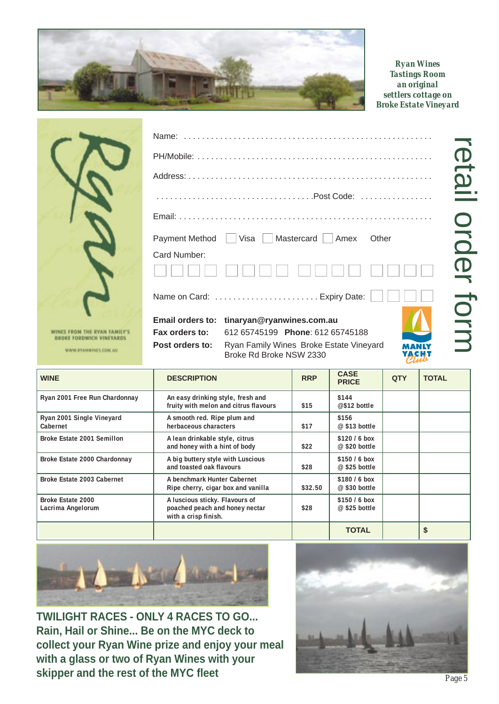

*Ryan Wines Tastings Room an original settlers cottage on Broke Estate Vineyard*

retail order form

retail order form

| WINES FROM THE RYAN FAMILY'S |
|------------------------------|

WWW.ETAJEWINES.COM.AU

|                 | Payment Method □ Visa □ Mastercard □ Amex<br>Other                                                                        |
|-----------------|---------------------------------------------------------------------------------------------------------------------------|
| Card Number:    |                                                                                                                           |
|                 | Name on Card: $\,\ldots\ldots\ldots\ldots\ldots\ldots\ldots\ldots$ . Expiry Date: $\,\lfloor\,\ldots\, \rfloor\,\ldots\,$ |
| Fax orders to:  | Email orders to: tinaryan@ryanwines.com.au<br>612 65745199 Phone: 612 65745188                                            |
| Post orders to: | Ryan Family Wines Broke Estate Vineyard<br>MANLY                                                                          |

Name: . . . . . . . . . . . . . . . . . . . . . . . . . . . . . . . . . . . . . . . . . . . . . . . . . . . . . . .

| <b>WINE</b>                                   | <b>DESCRIPTION</b>                                                                       | <b>RRP</b> | <b>CASE</b><br><b>PRICE</b>      | <b>QTY</b> | <b>TOTAL</b> |
|-----------------------------------------------|------------------------------------------------------------------------------------------|------------|----------------------------------|------------|--------------|
| Ryan 2001 Free Run Chardonnay                 | An easy drinking style, fresh and<br>fruity with melon and citrus flavours               | \$15       | \$144<br>@\$12 bottle            |            |              |
| Ryan 2001 Single Vineyard<br>Cabernet         | A smooth red. Ripe plum and<br>herbaceous characters                                     | \$17       | \$156<br>$@$ \$13 bottle         |            |              |
| Broke Estate 2001 Semillon                    | A lean drinkable style, citrus<br>and honey with a hint of body                          | \$22       | \$120 / 6 box<br>$@$ \$20 bottle |            |              |
| Broke Estate 2000 Chardonnay                  | A big buttery style with Luscious<br>and toasted oak flavours                            | \$28       | \$150 / 6 box<br>$@$ \$25 bottle |            |              |
| Broke Estate 2003 Cabernet                    | A benchmark Hunter Cabernet<br>Ripe cherry, cigar box and vanilla                        | \$32.50    | \$180/6 box<br>$@$ \$30 bottle   |            |              |
| <b>Broke Estate 2000</b><br>Lacrima Angelorum | A luscious sticky. Flavours of<br>poached peach and honey nectar<br>with a crisp finish. | \$28       | $$150/6$ box<br>$@$ \$25 bottle  |            |              |
|                                               |                                                                                          |            | <b>TOTAL</b>                     |            | \$           |

Broke Rd Broke NSW 2330



**TWILIGHT RACES - ONLY 4 RACES TO GO... Rain, Hail or Shine... Be on the MYC deck to collect your Ryan Wine prize and enjoy your meal with a glass or two of Ryan Wines with your skipper and the rest of the MYC fleet**



*Page 5*